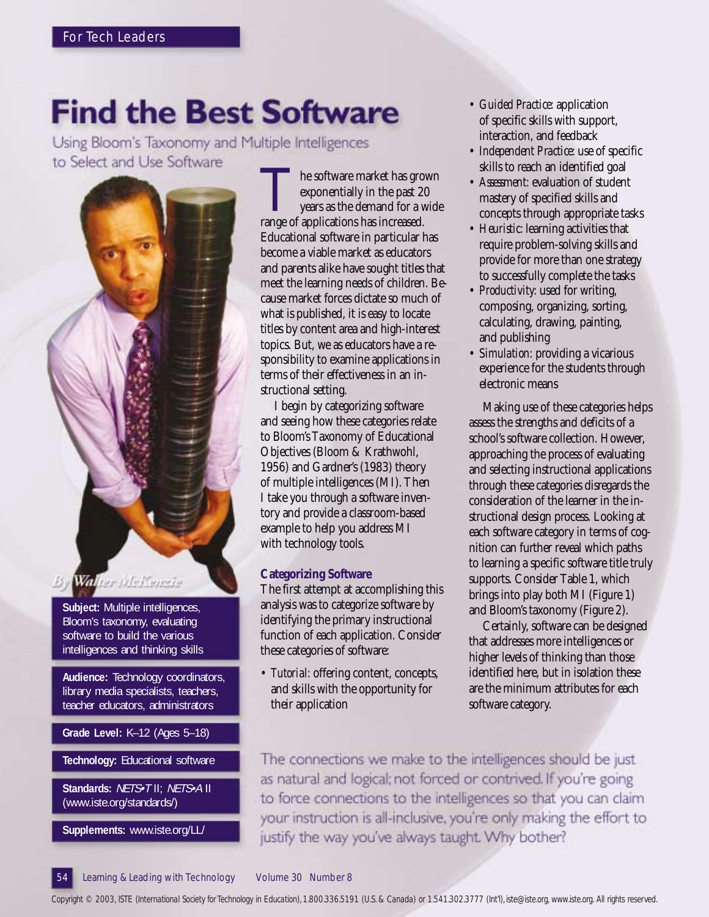# **Find the Best Software**

Using Bloom's Taxonomy and Multiple Intelligences to Select and Use Software



**Subject:** Multiple intelligences, Bloom's taxonomy, evaluating software to build the various intelligences and thinking skills

**Audience:** Technology coordinators, library media specialists, teachers, teacher educators, administrators

**Grade Level:** K–12 (Ages 5–18)

**Technology:** Educational software

**Standards:** NETS•T II; NETS•A II (www.iste.org/standards/)

**Supplements:** www.iste.org/LL/

The software market has grown<br>exponentially in the past 20<br>years as the demand for a wide<br>range of applications has increased. exponentially in the past 20 years as the demand for a wide Educational software in particular has become a viable market as educators and parents alike have sought titles that meet the learning needs of children. Because market forces dictate so much of what is published, it is easy to locate titles by content area and high-interest topics. But, we as educators have a responsibility to examine applications in terms of their effectiveness in an instructional setting.

I begin by categorizing software and seeing how these categories relate to Bloom's Taxonomy of Educational Objectives (Bloom & Krathwohl, 1956) and Gardner's (1983) theory of multiple intelligences (MI). Then I take you through a software inventory and provide a classroom-based example to help you address MI with technology tools.

### **Categorizing Software**

The first attempt at accomplishing this analysis was to categorize software by identifying the primary instructional function of each application. Consider these categories of software:

• *Tutorial:* offering content, concepts, and skills with the opportunity for their application

- *Guided Practice:* application of specific skills with support, interaction, and feedback
- *Independent Practice:* use of specific skills to reach an identified goal
- *Assessment:* evaluation of student mastery of specified skills and concepts through appropriate tasks
- *Heuristic:* learning activities that require problem-solving skills and provide for more than one strategy to successfully complete the tasks
- *Productivity:* used for writing, composing, organizing, sorting, calculating, drawing, painting, and publishing
- *Simulation:* providing a vicarious experience for the students through electronic means

Making use of these categories helps assess the strengths and deficits of a school's software collection. However, approaching the process of evaluating and selecting instructional applications through these categories disregards the consideration of the learner in the instructional design process. Looking at each software category in terms of cognition can further reveal which paths to learning a specific software title truly supports. Consider Table 1, which brings into play both MI (Figure 1) and Bloom's taxonomy (Figure 2).

Certainly, software can be designed that addresses more intelligences or higher levels of thinking than those identified here, but in isolation these are the minimum attributes for each software category.

The connections we make to the intelligences should be just. as natural and logical; not forced or contrived. If you're going to force connections to the intelligences so that you can claim your instruction is all-inclusive, you're only making the effort to justify the way you've always taught. Why bother?

### Learning & Leading with Technology Volume 30 Number 8

*Copyright © 2003, ISTE (International Society for Technology in Education), 1.800.336.5191 (U.S. & Canada) or 1.541.302.3777 (Int'l), iste@iste.org, www.iste.org. All rights reserved.*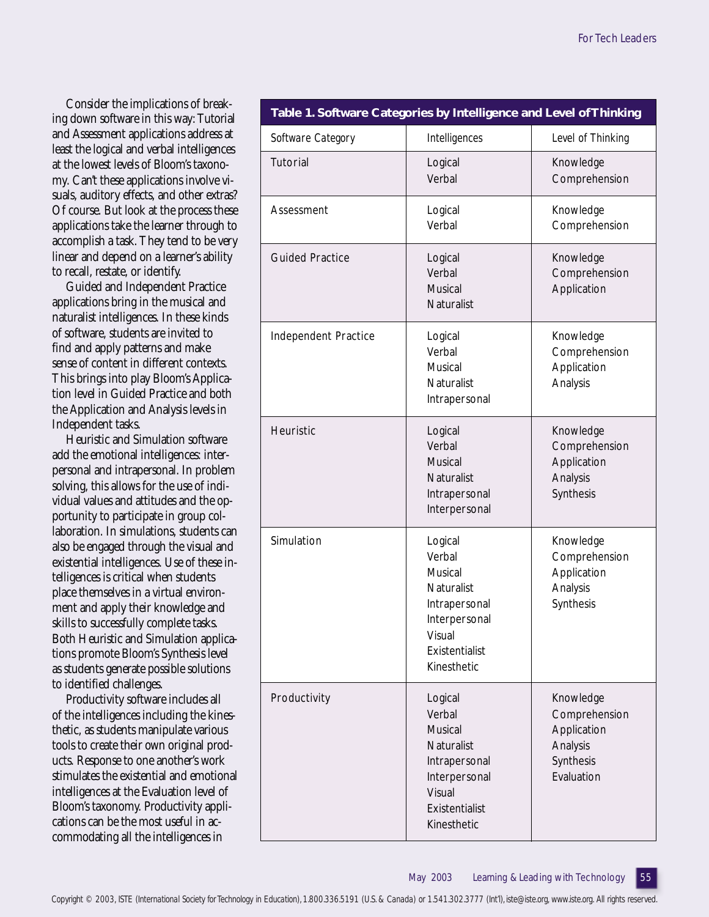Consider the implications of breaking down software in this way: Tutorial and Assessment applications address at least the logical and verbal intelligences at the lowest levels of Bloom's taxonomy. Can't these applications involve visuals, auditory effects, and other extras? Of course. But look at the process these applications take the learner through to accomplish a task. They tend to be very linear and depend on a learner's ability to recall, restate, or identify.

Guided and Independent Practice applications bring in the musical and naturalist intelligences. In these kinds of software, students are invited to find and apply patterns and make sense of content in different contexts. This brings into play Bloom's Application level in Guided Practice and both the Application and Analysis levels in Independent tasks.

Heuristic and Simulation software add the emotional intelligences: interpersonal and intrapersonal. In problem solving, this allows for the use of individual values and attitudes and the opportunity to participate in group collaboration. In simulations, students can also be engaged through the visual and existential intelligences. Use of these intelligences is critical when students place themselves in a virtual environment and apply their knowledge and skills to successfully complete tasks. Both Heuristic and Simulation applications promote Bloom's Synthesis level as students generate possible solutions to identified challenges.

Productivity software includes all of the intelligences including the kinesthetic, as students manipulate various tools to create their own original products. Response to one another's work stimulates the existential and emotional intelligences at the Evaluation level of Bloom's taxonomy. Productivity applications can be the most useful in accommodating all the intelligences in

| Table 1. Software Categories by Intelligence and Level of Thinking |                                                                                                                                |                                                                                  |  |  |  |
|--------------------------------------------------------------------|--------------------------------------------------------------------------------------------------------------------------------|----------------------------------------------------------------------------------|--|--|--|
| Software Category                                                  | Intelligences                                                                                                                  | Level of Thinking                                                                |  |  |  |
| Tutorial                                                           | Logical<br>Verbal                                                                                                              | Knowledge<br>Comprehension                                                       |  |  |  |
| Assessment                                                         | Logical<br>Verbal                                                                                                              | Knowledge<br>Comprehension                                                       |  |  |  |
| <b>Guided Practice</b>                                             | Logical<br>Verbal<br>Musical<br>Naturalist                                                                                     | Knowledge<br>Comprehension<br>Application                                        |  |  |  |
| Independent Practice                                               | Logical<br>Verbal<br>Musical<br>Naturalist<br>Intrapersonal                                                                    | Knowledge<br>Comprehension<br>Application<br>Analysis                            |  |  |  |
| Heuristic                                                          | Logical<br>Verbal<br>Musical<br>Naturalist<br>Intrapersonal<br>Interpersonal                                                   | Knowledge<br>Comprehension<br>Application<br>Analysis<br>Synthesis               |  |  |  |
| Simulation                                                         | Logical<br>Verbal<br>Musical<br>Naturalist<br>Intrapersonal<br>Interpersonal<br>Visual<br>Existentialist<br>Kinesthetic        | Knowledge<br>Comprehension<br>Application<br>Analysis<br>Synthesis               |  |  |  |
| Productivity                                                       | Logical<br>Verbal<br><b>Musical</b><br>Naturalist<br>Intrapersonal<br>Interpersonal<br>Visual<br>Existentialist<br>Kinesthetic | Knowledge<br>Comprehension<br>Application<br>Analysis<br>Synthesis<br>Evaluation |  |  |  |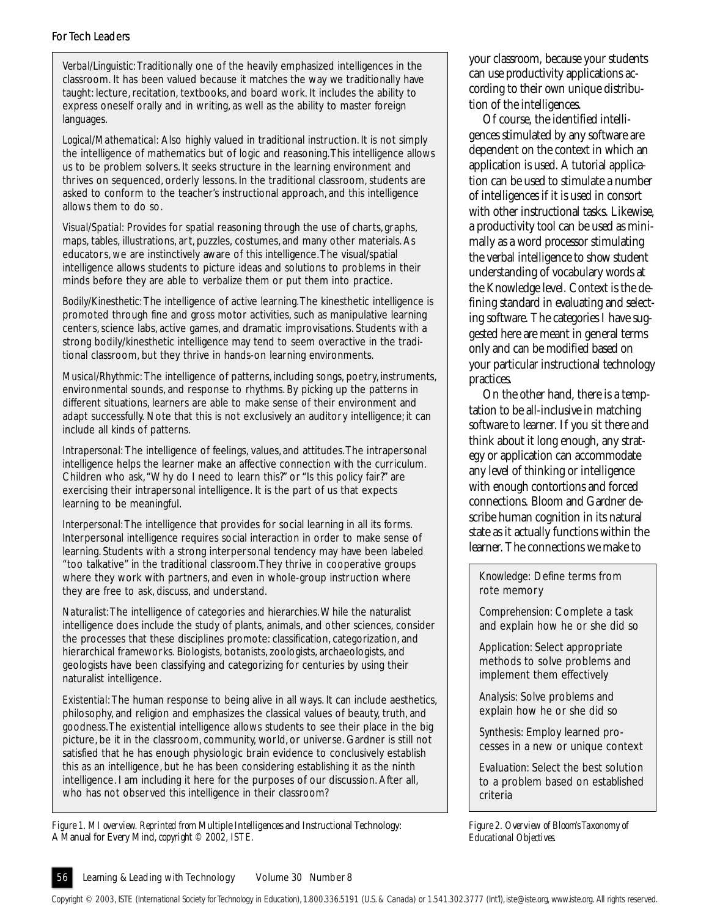### For Tech Leaders

*Verbal/Linguistic:* Traditionally one of the heavily emphasized intelligences in the classroom. It has been valued because it matches the way we traditionally have taught: lecture, recitation, textbooks, and board work. It includes the ability to express oneself orally and in writing, as well as the ability to master foreign languages.

*Logical/Mathematical:* Also highly valued in traditional instruction. It is not simply the intelligence of mathematics but of logic and reasoning. This intelligence allows us to be problem solvers. It seeks structure in the learning environment and thrives on sequenced, orderly lessons. In the traditional classroom, students are asked to conform to the teacher's instructional approach, and this intelligence allows them to do so.

*Visual/Spatial:* Provides for spatial reasoning through the use of charts, graphs, maps, tables, illustrations, art, puzzles, costumes, and many other materials. As educators, we are instinctively aware of this intelligence. The visual/spatial intelligence allows students to picture ideas and solutions to problems in their minds before they are able to verbalize them or put them into practice.

*Bodily/Kinesthetic:* The intelligence of active learning. The kinesthetic intelligence is promoted through fine and gross motor activities, such as manipulative learning centers, science labs, active games, and dramatic improvisations. Students with a strong bodily/kinesthetic intelligence may tend to seem overactive in the traditional classroom, but they thrive in hands-on learning environments.

*Musical/Rhythmic:* The intelligence of patterns, including songs, poetry, instruments, environmental sounds, and response to rhythms. By picking up the patterns in different situations, learners are able to make sense of their environment and adapt successfully. Note that this is not exclusively an auditory intelligence; it can include all kinds of patterns.

*Intrapersonal:* The intelligence of feelings, values, and attitudes. The intrapersonal intelligence helps the learner make an affective connection with the curriculum. Children who ask, "Why do I need to learn this?" or "Is this policy fair?" are exercising their intrapersonal intelligence. It is the part of us that expects learning to be meaningful.

*Interpersonal:* The intelligence that provides for social learning in all its forms. Interpersonal intelligence requires social interaction in order to make sense of learning. Students with a strong interpersonal tendency may have been labeled "too talkative" in the traditional classroom. They thrive in cooperative groups where they work with partners, and even in whole-group instruction where they are free to ask, discuss, and understand.

*Naturalist:* The intelligence of categories and hierarchies. While the naturalist intelligence does include the study of plants, animals, and other sciences, consider the processes that these disciplines promote: classification, categorization, and hierarchical frameworks. Biologists, botanists, zoologists, archaeologists, and geologists have been classifying and categorizing for centuries by using their naturalist intelligence.

*Existential:* The human response to being alive in all ways. It can include aesthetics, philosophy, and religion and emphasizes the classical values of beauty, truth, and goodness. The existential intelligence allows students to see their place in the big picture, be it in the classroom, community, world, or universe. Gardner is still not satisfied that he has enough physiologic brain evidence to conclusively establish this as an intelligence, but he has been considering establishing it as the ninth intelligence. I am including it here for the purposes of our discussion. After all, who has not observed this intelligence in their classroom?

*Figure 1. MI overview. Reprinted from* Multiple Intelligences and Instructional Technology: A Manual for Every Mind, *copyright © 2002, ISTE.*

your classroom, because your students can use productivity applications according to their own unique distribution of the intelligences.

Of course, the identified intelligences stimulated by any software are dependent on the context in which an application is used. A tutorial application can be used to stimulate a number of intelligences if it is used in consort with other instructional tasks. Likewise, a productivity tool can be used as minimally as a word processor stimulating the verbal intelligence to show student understanding of vocabulary words at the Knowledge level. Context is the defining standard in evaluating and selecting software. The categories I have suggested here are meant in general terms only and can be modified based on your particular instructional technology practices.

On the other hand, there is a temptation to be all-inclusive in matching software to learner. If you sit there and think about it long enough, any strategy or application can accommodate any level of thinking or intelligence with enough contortions and forced connections. Bloom and Gardner describe human cognition in its natural state as it actually functions within the learner. The connections we make to

*Knowledge:* Define terms from rote memory

*Comprehension:* Complete a task and explain how he or she did so

*Application:* Select appropriate methods to solve problems and implement them effectively

*Analysis:* Solve problems and explain how he or she did so

*Synthesis:* Employ learned processes in a new or unique context

*Evaluation:* Select the best solution to a problem based on established criteria

*Figure 2. Overview of Bloom's Taxonomy of Educational Objectives.*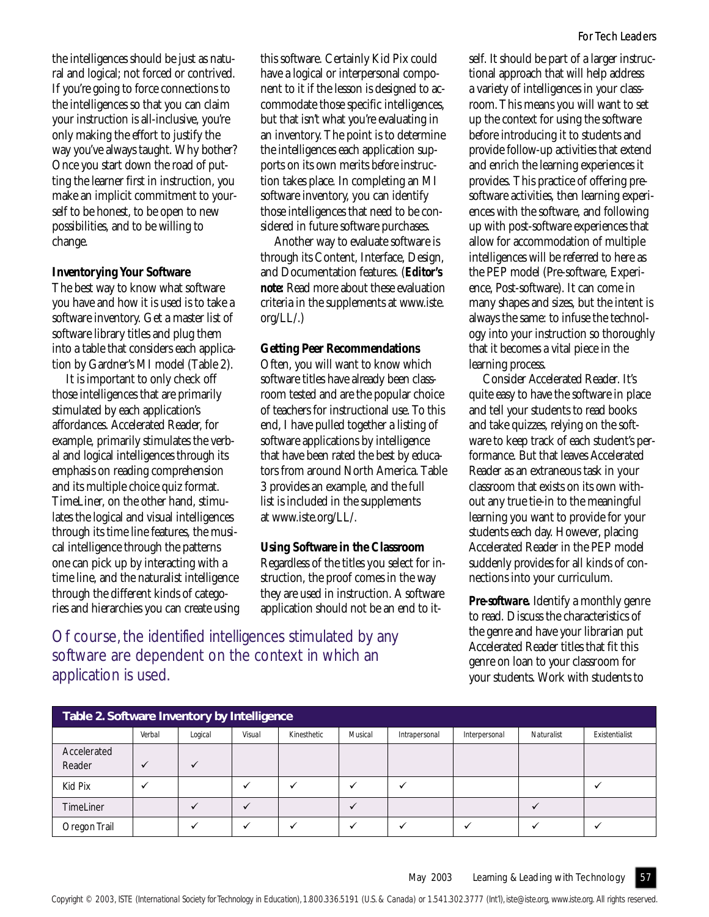the intelligences should be just as natural and logical; not forced or contrived. If you're going to force connections to the intelligences so that you can claim your instruction is all-inclusive, you're only making the effort to justify the way you've always taught. Why bother? Once you start down the road of putting the learner first in instruction, you make an implicit commitment to yourself to be honest, to be open to new possibilities, and to be willing to change.

### **Inventorying Your Software**

The best way to know what software you have and how it is used is to take a software inventory. Get a master list of software library titles and plug them into a table that considers each application by Gardner's MI model (Table 2).

It is important to only check off those intelligences that are primarily stimulated by each application's affordances. Accelerated Reader, for example, primarily stimulates the verbal and logical intelligences through its emphasis on reading comprehension and its multiple choice quiz format. TimeLiner, on the other hand, stimulates the logical and visual intelligences through its time line features, the musical intelligence through the patterns one can pick up by interacting with a time line, and the naturalist intelligence through the different kinds of categories and hierarchies you can create using this software. Certainly Kid Pix could have a logical or interpersonal component to it if the lesson is designed to accommodate those specific intelligences, but that isn't what you're evaluating in an inventory. The point is to determine the intelligences each application supports on its own merits *before* instruction takes place. In completing an MI software inventory, you can identify those intelligences that need to be considered in future software purchases.

Another way to evaluate software is through its Content, Interface, Design, and Documentation features. (*Editor's note:* Read more about these evaluation criteria in the supplements at www.iste. org/LL/.)

#### **Getting Peer Recommendations**

Often, you will want to know which software titles have already been classroom tested and are the popular choice of teachers for instructional use. To this end, I have pulled together a listing of software applications by intelligence that have been rated the best by educators from around North America. Table 3 provides an example, and the full list is included in the supplements at www.iste.org/LL/.

### **Using Software in the Classroom**

Regardless of the titles you select for instruction, the proof comes in the way they are used in instruction. A software application should not be an end to it-

Of course, the identified intelligences stimulated by any software are dependent on the context in which an application is used.

self. It should be part of a larger instructional approach that will help address a variety of intelligences in your classroom. This means you will want to set up the context for using the software before introducing it to students and provide follow-up activities that extend and enrich the learning experiences it provides. This practice of offering presoftware activities, then learning experiences with the software, and following up with post-software experiences that allow for accommodation of multiple intelligences will be referred to here as the PEP model (Pre-software, Experience, Post-software). It can come in many shapes and sizes, but the intent is always the same: to infuse the technology into your instruction so thoroughly that it becomes a vital piece in the learning process.

Consider Accelerated Reader. It's quite easy to have the software in place and tell your students to read books and take quizzes, relying on the software to keep track of each student's performance. But that leaves Accelerated Reader as an extraneous task in your classroom that exists on its own without any true tie-in to the meaningful learning you want to provide for your students each day. However, placing Accelerated Reader in the PEP model suddenly provides for all kinds of connections into your curriculum.

*Pre-software.* Identify a monthly genre to read. Discuss the characteristics of the genre and have your librarian put Accelerated Reader titles that fit this genre on loan to your classroom for your students. Work with students to

| Table 2. Software Inventory by Intelligence |        |         |        |             |         |               |               |            |                |
|---------------------------------------------|--------|---------|--------|-------------|---------|---------------|---------------|------------|----------------|
|                                             | Verbal | Logical | Visual | Kinesthetic | Musical | Intrapersonal | Interpersonal | Naturalist | Existentialist |
| Accelerated<br>Reader                       |        |         |        |             |         |               |               |            |                |
| Kid Pix                                     |        |         |        |             |         |               |               |            |                |
| <b>TimeLiner</b>                            |        |         |        |             |         |               |               |            |                |
| Oregon Trail                                |        |         |        |             |         |               |               |            |                |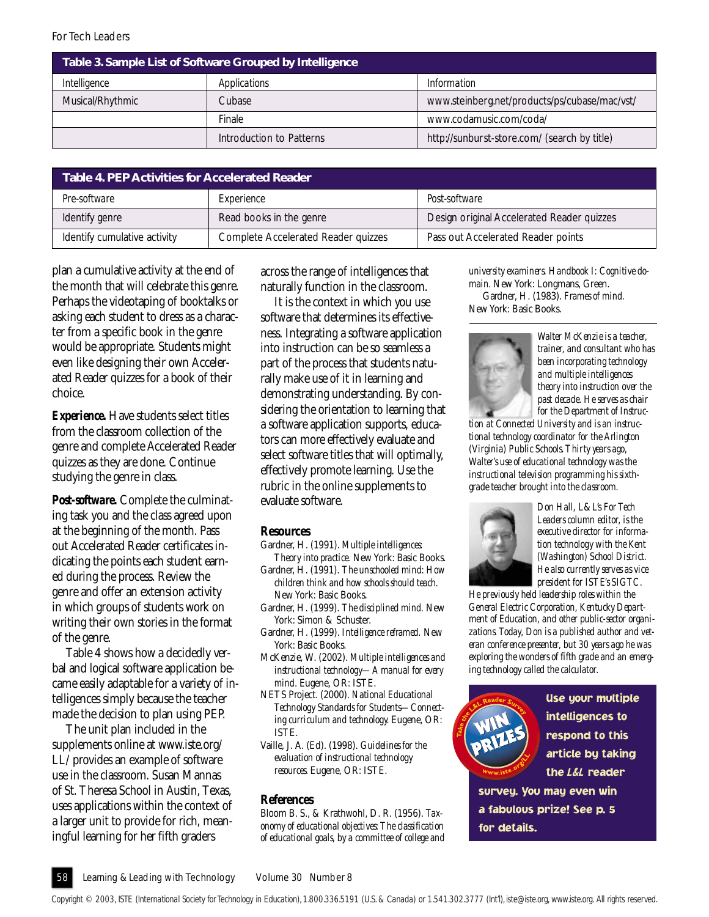| Table 3. Sample List of Software Grouped by Intelligence |                          |                                               |  |  |  |
|----------------------------------------------------------|--------------------------|-----------------------------------------------|--|--|--|
| Intelligence                                             | Applications             | Information                                   |  |  |  |
| Musical/Rhythmic                                         | Cubase                   | www.steinberg.net/products/ps/cubase/mac/vst/ |  |  |  |
|                                                          | Finale                   | www.codamusic.com/coda/                       |  |  |  |
|                                                          | Introduction to Patterns | http://sunburst-store.com/ (search by title)  |  |  |  |

| Table 4. PEP Activities for Accelerated Reader |                                     |                                            |  |  |  |  |
|------------------------------------------------|-------------------------------------|--------------------------------------------|--|--|--|--|
| Pre-software                                   | Experience                          | Post-software                              |  |  |  |  |
| Identify genre                                 | Read books in the genre             | Design original Accelerated Reader quizzes |  |  |  |  |
| Identify cumulative activity                   | Complete Accelerated Reader quizzes | Pass out Accelerated Reader points         |  |  |  |  |

plan a cumulative activity at the end of the month that will celebrate this genre. Perhaps the videotaping of booktalks or asking each student to dress as a character from a specific book in the genre would be appropriate. Students might even like designing their own Accelerated Reader quizzes for a book of their choice.

*Experience.* Have students select titles from the classroom collection of the genre and complete Accelerated Reader quizzes as they are done. Continue studying the genre in class.

*Post-software.* Complete the culminating task you and the class agreed upon at the beginning of the month. Pass out Accelerated Reader certificates indicating the points each student earned during the process. Review the genre and offer an extension activity in which groups of students work on writing their own stories in the format of the genre.

Table 4 shows how a decidedly verbal and logical software application became easily adaptable for a variety of intelligences simply because the teacher made the decision to plan using PEP.

The unit plan included in the supplements online at www.iste.org/ LL/ provides an example of software use in the classroom. Susan Mannas of St. Theresa School in Austin, Texas, uses applications within the context of a larger unit to provide for rich, meaningful learning for her fifth graders

across the range of intelligences that naturally function in the classroom.

It is the context in which you use software that determines its effectiveness. Integrating a software application into instruction can be so seamless a part of the process that students naturally make use of it in learning and demonstrating understanding. By considering the orientation to learning that a software application supports, educators can more effectively evaluate and select software titles that will optimally, effectively promote learning. Use the rubric in the online supplements to evaluate software.

### **Resources**

- Gardner, H. (1991). *Multiple intelligences: Theory into practice.* New York: Basic Books.
- Gardner, H. (1991). *The unschooled mind: How children think and how schools should teach.* New York: Basic Books.
- Gardner, H. (1999). *The disciplined mind.* New York: Simon & Schuster.
- Gardner, H. (1999). *Intelligence reframed.* New York: Basic Books.
- McKenzie, W. (2002). *Multiple intelligences and instructional technology—A manual for every mind*. Eugene, OR: ISTE.
- NETS Project. (2000). *National Educational Technology Standards for Students—Connecting curriculum and technology.* Eugene, OR: ISTE.
- Vaille, J. A. (Ed). (1998). *Guidelines for the evaluation of instructional technology resources.* Eugene, OR: ISTE.

### **References**

Bloom B. S., & Krathwohl, D. R. (1956). *Taxonomy of educational objectives: The classification of educational goals, by a committee of college and*

*university examiners. Handbook I: Cognitive domain.* New York: Longmans, Green. Gardner, H. (1983). *Frames of mind.* New York: Basic Books.



*Walter McKenzie is a teacher, trainer, and consultant who has been incorporating technology and multiple intelligences theory into instruction over the past decade. He serves as chair for the Department of Instruc-*

*tion at Connected University and is an instructional technology coordinator for the Arlington (Virginia) Public Schools. Thirty years ago, Walter's use of educational technology was the instructional television programming his sixthgrade teacher brought into the classroom.*



*Don Hall,* L&L's *For Tech Leaders column editor, is the executive director for information technology with the Kent (Washington) School District. He also currently serves as vice president for ISTE's SIGTC.*

*He previously held leadership roles within the General Electric Corporation, Kentucky Department of Education, and other public-sector organizations. Today, Don is a published author and veteran conference presenter, but 30 years ago he was exploring the wonders of fifth grade and an emerging technology called the calculator.*



Use your multiple intelligences to respond to this article by taking the *L&L* reader

survey. You may even win a fabulous prize! See p. 5 for details.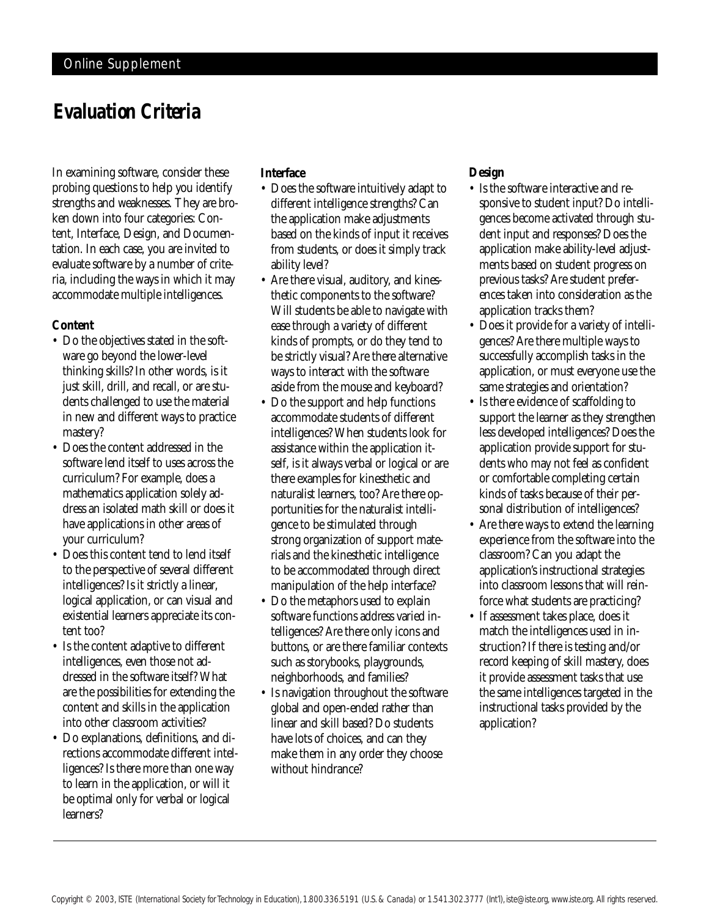### *Evaluation Criteria*

In examining software, consider these probing questions to help you identify strengths and weaknesses. They are broken down into four categories: Content, Interface, Design, and Documentation. In each case, you are invited to evaluate software by a number of criteria, including the ways in which it may accommodate multiple intelligences.

### **Content**

- Do the objectives stated in the software go beyond the lower-level thinking skills? In other words, is it just skill, drill, and recall, or are students challenged to use the material in new and different ways to practice mastery?
- Does the content addressed in the software lend itself to uses across the curriculum? For example, does a mathematics application solely address an isolated math skill or does it have applications in other areas of your curriculum?
- Does this content tend to lend itself to the perspective of several different intelligences? Is it strictly a linear, logical application, or can visual and existential learners appreciate its content too?
- Is the content adaptive to different intelligences, even those not addressed in the software itself? What are the possibilities for extending the content and skills in the application into other classroom activities?
- Do explanations, definitions, and directions accommodate different intelligences? Is there more than one way to learn in the application, or will it be optimal only for verbal or logical learners?

### **Interface**

- Does the software intuitively adapt to different intelligence strengths? Can the application make adjustments based on the kinds of input it receives from students, or does it simply track ability level?
- Are there visual, auditory, and kinesthetic components to the software? Will students be able to navigate with ease through a variety of different kinds of prompts, or do they tend to be strictly visual? Are there alternative ways to interact with the software aside from the mouse and keyboard?
- Do the support and help functions accommodate students of different intelligences? When students look for assistance within the application itself, is it always verbal or logical or are there examples for kinesthetic and naturalist learners, too? Are there opportunities for the naturalist intelligence to be stimulated through strong organization of support materials and the kinesthetic intelligence to be accommodated through direct manipulation of the help interface?
- Do the metaphors used to explain software functions address varied intelligences? Are there only icons and buttons, or are there familiar contexts such as storybooks, playgrounds, neighborhoods, and families?
- Is navigation throughout the software global and open-ended rather than linear and skill based? Do students have lots of choices, and can they make them in any order they choose without hindrance?

### **Design**

- Is the software interactive and responsive to student input? Do intelligences become activated through student input and responses? Does the application make ability-level adjustments based on student progress on previous tasks? Are student preferences taken into consideration as the application tracks them?
- Does it provide for a variety of intelligences? Are there multiple ways to successfully accomplish tasks in the application, or must everyone use the same strategies and orientation?
- Is there evidence of scaffolding to support the learner as they strengthen less developed intelligences? Does the application provide support for students who may not feel as confident or comfortable completing certain kinds of tasks because of their personal distribution of intelligences?
- Are there ways to extend the learning experience from the software into the classroom? Can you adapt the application's instructional strategies into classroom lessons that will reinforce what students are practicing?
- If assessment takes place, does it match the intelligences used in instruction? If there is testing and/or record keeping of skill mastery, does it provide assessment tasks that use the same intelligences targeted in the instructional tasks provided by the application?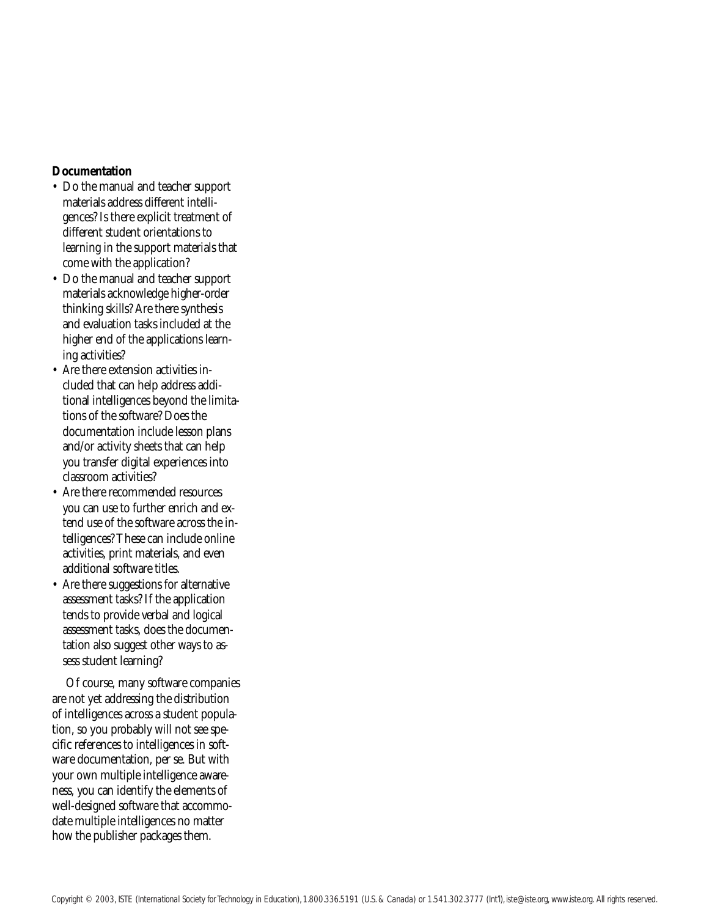### **Documentation**

- Do the manual and teacher support materials address different intelligences? Is there explicit treatment of different student orientations to learning in the support materials that come with the application?
- Do the manual and teacher support materials acknowledge higher-order thinking skills? Are there synthesis and evaluation tasks included at the higher end of the applications learning activities?
- Are there extension activities included that can help address additional intelligences beyond the limitations of the software? Does the documentation include lesson plans and/or activity sheets that can help you transfer digital experiences into classroom activities?
- Are there recommended resources you can use to further enrich and extend use of the software across the intelligences? These can include online activities, print materials, and even additional software titles.
- Are there suggestions for alternative assessment tasks? If the application tends to provide verbal and logical assessment tasks, does the documentation also suggest other ways to assess student learning?

Of course, many software companies are not yet addressing the distribution of intelligences across a student population, so you probably will not see specific references to intelligences in software documentation, per se. But with your own multiple intelligence awareness, you can identify the elements of well-designed software that accommodate multiple intelligences no matter how the publisher packages them.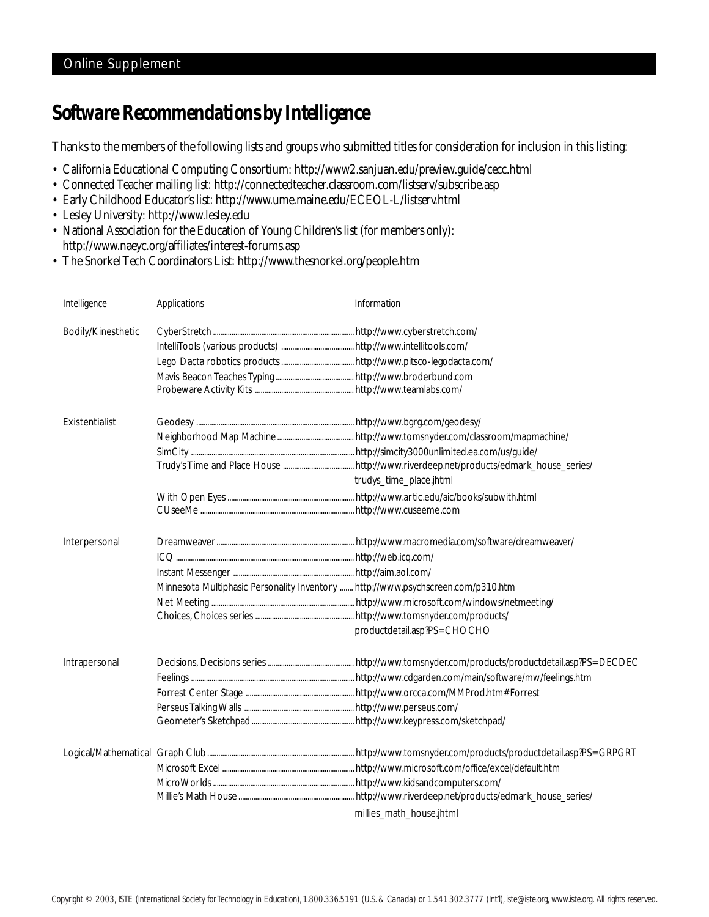### *Software Recommendations by Intelligence*

Thanks to the members of the following lists and groups who submitted titles for consideration for inclusion in this listing:

- California Educational Computing Consortium:<http://www2.sanjuan.edu/preview.guide/cecc.html>
- Connected Teacher mailing list:<http://connectedteacher.classroom.com/listserv/subscribe.asp>
- Early Childhood Educator's list:<http://www.ume.maine.edu/ECEOL-L/listserv.html>
- Lesley University:<http://www.lesley.edu>
- National Association for the Education of Young Children's list (for members only): <http://www.naeyc.org/affiliates/interest-forums.asp>
- The Snorkel Tech Coordinators List:<http://www.thesnorkel.org/people.htm>

| Intelligence       | Applications                                                                     | Information                 |
|--------------------|----------------------------------------------------------------------------------|-----------------------------|
| Bodily/Kinesthetic |                                                                                  |                             |
| Existentialist     |                                                                                  | trudys_time_place.jhtml     |
| Interpersonal      | Minnesota Multiphasic Personality Inventory  http://www.psychscreen.com/p310.htm | productdetail.asp?PS=CHOCHO |
| Intrapersonal      |                                                                                  |                             |
|                    |                                                                                  | millies_math_house.jhtml    |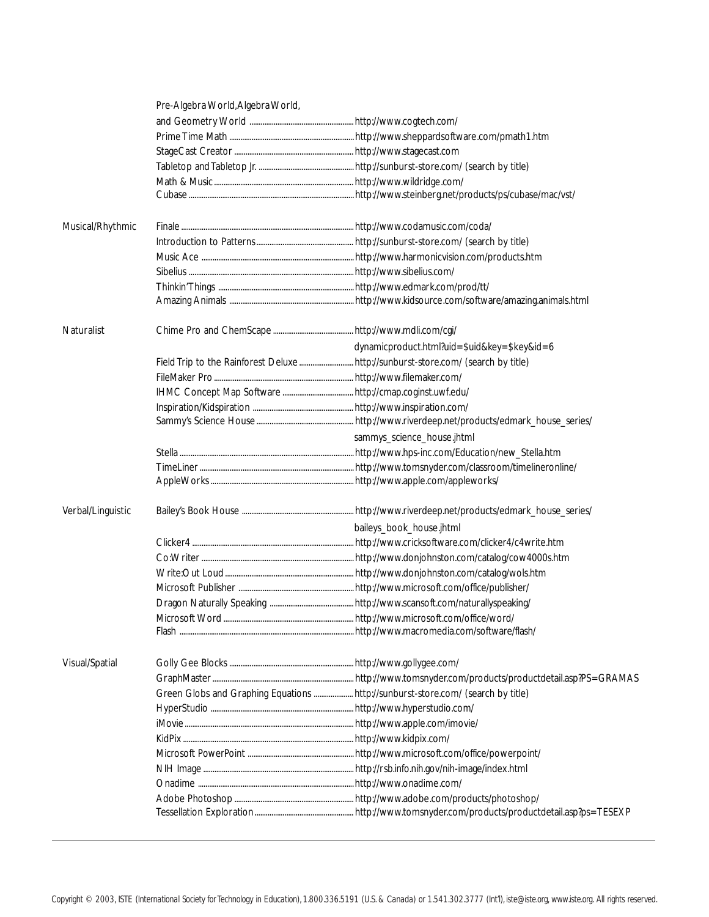|                   | Pre-Algebra World, Algebra World, |                                              |
|-------------------|-----------------------------------|----------------------------------------------|
|                   |                                   |                                              |
|                   |                                   |                                              |
|                   |                                   |                                              |
|                   |                                   |                                              |
|                   |                                   |                                              |
|                   |                                   |                                              |
| Musical/Rhythmic  |                                   |                                              |
|                   |                                   |                                              |
|                   |                                   |                                              |
|                   |                                   |                                              |
|                   |                                   |                                              |
|                   |                                   |                                              |
| <b>Naturalist</b> |                                   |                                              |
|                   |                                   | dynamicproduct.html?uid=\$uid&key=\$key&id=6 |
|                   |                                   |                                              |
|                   |                                   |                                              |
|                   |                                   |                                              |
|                   |                                   |                                              |
|                   |                                   |                                              |
|                   |                                   | sammys_science_house.jhtml                   |
|                   |                                   |                                              |
|                   |                                   |                                              |
|                   |                                   |                                              |
| Verbal/Linguistic |                                   |                                              |
|                   |                                   | baileys_book_house.jhtml                     |
|                   |                                   |                                              |
|                   |                                   |                                              |
|                   |                                   |                                              |
|                   |                                   |                                              |
|                   |                                   |                                              |
|                   |                                   |                                              |
|                   |                                   |                                              |
| Visual/Spatial    |                                   |                                              |
|                   |                                   |                                              |
|                   |                                   |                                              |
|                   |                                   |                                              |
|                   |                                   |                                              |
|                   |                                   |                                              |
|                   |                                   |                                              |
|                   |                                   |                                              |
|                   |                                   |                                              |
|                   |                                   |                                              |
|                   |                                   |                                              |
|                   |                                   |                                              |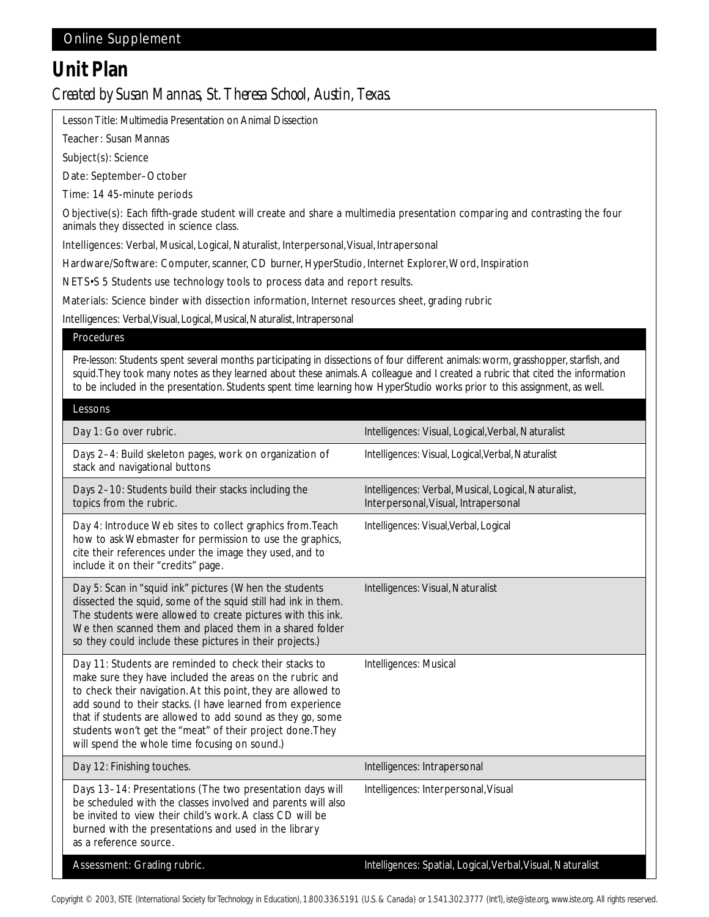### *Unit Plan Created by Susan Mannas, St. Theresa School, Austin, Texas.*

Lesson Title: Multimedia Presentation on Animal Dissection

Teacher: Susan Mannas

Subject(s): Science

Date: September–October

Time: 14 45-minute periods

Objective(s): Each fifth-grade student will create and share a multimedia presentation comparing and contrasting the four animals they dissected in science class.

Intelligences: Verbal, Musical, Logical, Naturalist, Interpersonal, Visual, Intrapersonal

Hardware/Software: Computer, scanner, CD burner, HyperStudio, Internet Explorer, Word, Inspiration

NETS•S 5 Students use technology tools to process data and report results.

Materials: Science binder with dissection information, Internet resources sheet, grading rubric

Intelligences: Verbal, Visual, Logical, Musical, Naturalist, Intrapersonal

### Procedures

*Pre-lesson:* Students spent several months participating in dissections of four different animals: worm, grasshopper, starfish, and squid. They took many notes as they learned about these animals. A colleague and I created a rubric that cited the information to be included in the presentation. Students spent time learning how HyperStudio works prior to this assignment, as well.

| Lessons                                                                                                                                                                                                                                                                                                                                                                                                                       |                                                                                              |
|-------------------------------------------------------------------------------------------------------------------------------------------------------------------------------------------------------------------------------------------------------------------------------------------------------------------------------------------------------------------------------------------------------------------------------|----------------------------------------------------------------------------------------------|
| Day 1: Go over rubric.                                                                                                                                                                                                                                                                                                                                                                                                        | Intelligences: Visual, Logical, Verbal, Naturalist                                           |
| Days 2-4: Build skeleton pages, work on organization of<br>stack and navigational buttons                                                                                                                                                                                                                                                                                                                                     | Intelligences: Visual, Logical, Verbal, Naturalist                                           |
| Days 2-10: Students build their stacks including the<br>topics from the rubric.                                                                                                                                                                                                                                                                                                                                               | Intelligences: Verbal, Musical, Logical, Naturalist,<br>Interpersonal, Visual, Intrapersonal |
| Day 4: Introduce Web sites to collect graphics from. Teach<br>how to ask Webmaster for permission to use the graphics,<br>cite their references under the image they used, and to<br>include it on their "credits" page.                                                                                                                                                                                                      | Intelligences: Visual, Verbal, Logical                                                       |
| Day 5: Scan in "squid ink" pictures (When the students<br>dissected the squid, some of the squid still had ink in them.<br>The students were allowed to create pictures with this ink.<br>We then scanned them and placed them in a shared folder<br>so they could include these pictures in their projects.)                                                                                                                 | Intelligences: Visual, Naturalist                                                            |
| Day 11: Students are reminded to check their stacks to<br>make sure they have included the areas on the rubric and<br>to check their navigation. At this point, they are allowed to<br>add sound to their stacks. (I have learned from experience<br>that if students are allowed to add sound as they go, some<br>students won't get the "meat" of their project done. They<br>will spend the whole time focusing on sound.) | Intelligences: Musical                                                                       |
| Day 12: Finishing touches.                                                                                                                                                                                                                                                                                                                                                                                                    | Intelligences: Intrapersonal                                                                 |
| Days 13-14: Presentations (The two presentation days will<br>be scheduled with the classes involved and parents will also<br>be invited to view their child's work. A class CD will be<br>burned with the presentations and used in the library<br>as a reference source.                                                                                                                                                     | Intelligences: Interpersonal, Visual                                                         |
| Assessment: Grading rubric.                                                                                                                                                                                                                                                                                                                                                                                                   | Intelligences: Spatial, Logical, Verbal, Visual, Naturalist                                  |

*Copyright © 2003, ISTE (International Society for Technology in Education), 1.800.336.5191 (U.S. & Canada) or 1.541.302.3777 (Int'l), iste@iste.org, www.iste.org. All rights reserved.*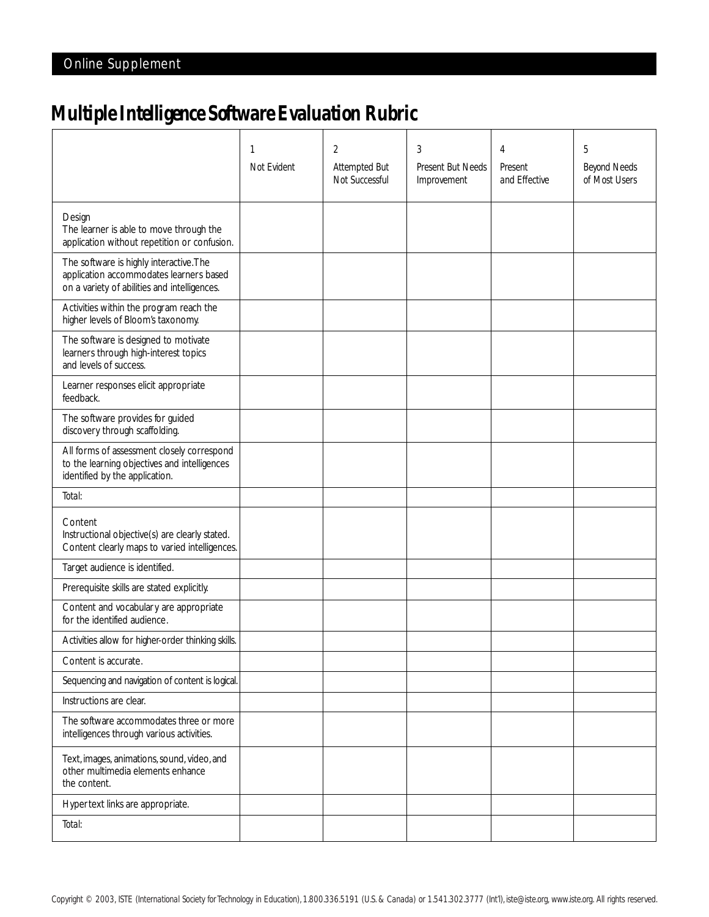## *Multiple Intelligence Software Evaluation Rubric*

|                                                                                                                                    | 1<br>Not Evident | 2<br><b>Attempted But</b><br>Not Successful | 3<br><b>Present But Needs</b><br>Improvement | 4<br>Present<br>and Effective | 5<br><b>Beyond Needs</b><br>of Most Users |
|------------------------------------------------------------------------------------------------------------------------------------|------------------|---------------------------------------------|----------------------------------------------|-------------------------------|-------------------------------------------|
| Design<br>The learner is able to move through the<br>application without repetition or confusion.                                  |                  |                                             |                                              |                               |                                           |
| The software is highly interactive. The<br>application accommodates learners based<br>on a variety of abilities and intelligences. |                  |                                             |                                              |                               |                                           |
| Activities within the program reach the<br>higher levels of Bloom's taxonomy.                                                      |                  |                                             |                                              |                               |                                           |
| The software is designed to motivate<br>learners through high-interest topics<br>and levels of success.                            |                  |                                             |                                              |                               |                                           |
| Learner responses elicit appropriate<br>feedback.                                                                                  |                  |                                             |                                              |                               |                                           |
| The software provides for guided<br>discovery through scaffolding.                                                                 |                  |                                             |                                              |                               |                                           |
| All forms of assessment closely correspond<br>to the learning objectives and intelligences<br>identified by the application.       |                  |                                             |                                              |                               |                                           |
| Total:                                                                                                                             |                  |                                             |                                              |                               |                                           |
| Content<br>Instructional objective(s) are clearly stated.<br>Content clearly maps to varied intelligences.                         |                  |                                             |                                              |                               |                                           |
| Target audience is identified.                                                                                                     |                  |                                             |                                              |                               |                                           |
| Prerequisite skills are stated explicitly.                                                                                         |                  |                                             |                                              |                               |                                           |
| Content and vocabulary are appropriate<br>for the identified audience.                                                             |                  |                                             |                                              |                               |                                           |
| Activities allow for higher-order thinking skills.                                                                                 |                  |                                             |                                              |                               |                                           |
| Content is accurate.                                                                                                               |                  |                                             |                                              |                               |                                           |
| Sequencing and navigation of content is logical.                                                                                   |                  |                                             |                                              |                               |                                           |
| Instructions are clear.                                                                                                            |                  |                                             |                                              |                               |                                           |
| The software accommodates three or more<br>intelligences through various activities.                                               |                  |                                             |                                              |                               |                                           |
| Text, images, animations, sound, video, and<br>other multimedia elements enhance<br>the content.                                   |                  |                                             |                                              |                               |                                           |
| Hyper text links are appropriate.                                                                                                  |                  |                                             |                                              |                               |                                           |
| Total:                                                                                                                             |                  |                                             |                                              |                               |                                           |